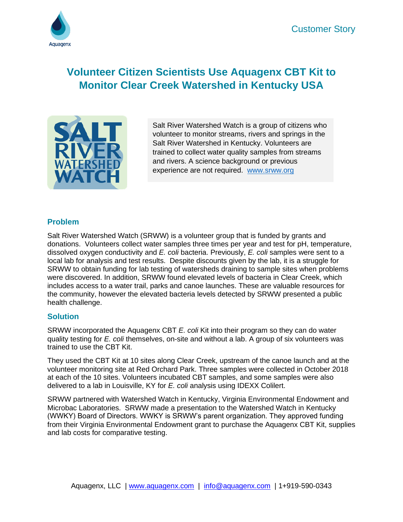

# **Volunteer Citizen Scientists Use Aquagenx CBT Kit to Monitor Clear Creek Watershed in Kentucky USA**



Salt River Watershed Watch is a group of citizens who volunteer to monitor streams, rivers and springs in the Salt River Watershed in Kentucky. Volunteers are trained to collect water quality samples from streams and rivers. A science background or previous experience are not required. [www.srww.org](http://www.srww.org/)

### **Problem**

Salt River Watershed Watch (SRWW) is a volunteer group that is funded by grants and donations. Volunteers collect water samples three times per year and test for pH, temperature, dissolved oxygen conductivity and *E. coli* bacteria. Previously, *E. coli* samples were sent to a local lab for analysis and test results. Despite discounts given by the lab, it is a struggle for SRWW to obtain funding for lab testing of watersheds draining to sample sites when problems were discovered. In addition, SRWW found elevated levels of bacteria in Clear Creek, which includes access to a water trail, parks and canoe launches. These are valuable resources for the community, however the elevated bacteria levels detected by SRWW presented a public health challenge.

#### **Solution**

SRWW incorporated the Aquagenx CBT *E. coli* Kit into their program so they can do water quality testing for *E. coli* themselves, on-site and without a lab. A group of six volunteers was trained to use the CBT Kit.

They used the CBT Kit at 10 sites along Clear Creek, upstream of the canoe launch and at the volunteer monitoring site at Red Orchard Park. Three samples were collected in October 2018 at each of the 10 sites. Volunteers incubated CBT samples, and some samples were also delivered to a lab in Louisville, KY for *E. coli* analysis using IDEXX Colilert.

SRWW partnered with Watershed Watch in Kentucky, Virginia Environmental Endowment and Microbac Laboratories. SRWW made a presentation to the Watershed Watch in Kentucky (WWKY) Board of Directors. WWKY is SRWW's parent organization. They approved funding from their Virginia Environmental Endowment grant to purchase the Aquagenx CBT Kit, supplies and lab costs for comparative testing.